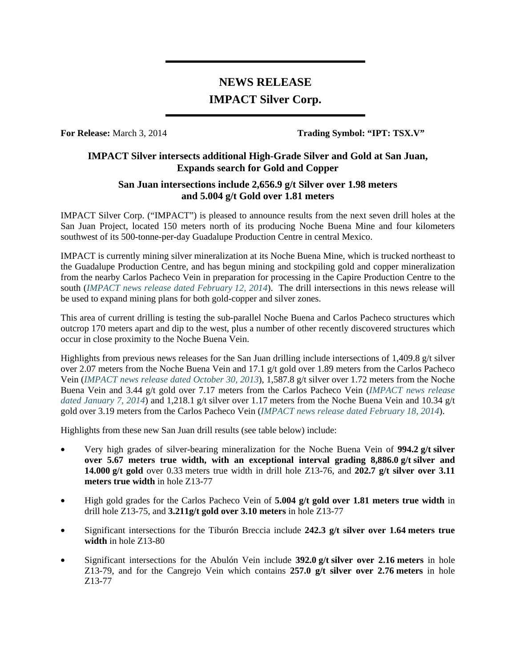# **NEWS RELEASE IMPACT Silver Corp.**

**For Release:** March 3, 2014 **Trading Symbol: "IPT: TSX.V"**

## **IMPACT Silver intersects additional High-Grade Silver and Gold at San Juan, Expands search for Gold and Copper**

## **San Juan intersections include 2,656.9 g/t Silver over 1.98 meters and 5.004 g/t Gold over 1.81 meters**

IMPACT Silver Corp. ("IMPACT") is pleased to announce results from the next seven drill holes at the San Juan Project, located 150 meters north of its producing Noche Buena Mine and four kilometers southwest of its 500-tonne-per-day Guadalupe Production Centre in central Mexico.

IMPACT is currently mining silver mineralization at its Noche Buena Mine, which is trucked northeast to the Guadalupe Production Centre, and has begun mining and stockpiling gold and copper mineralization from the nearby Carlos Pacheco Vein in preparation for processing in the Capire Production Centre to the south (*IMPACT news release dated February 12, 2014*). The drill intersections in this news release will be used to expand mining plans for both gold-copper and silver zones.

This area of current drilling is testing the sub-parallel Noche Buena and Carlos Pacheco structures which outcrop 170 meters apart and dip to the west, plus a number of other recently discovered structures which occur in close proximity to the Noche Buena Vein.

Highlights from previous news releases for the San Juan drilling include intersections of 1,409.8 g/t silver over 2.07 meters from the Noche Buena Vein and 17.1 g/t gold over 1.89 meters from the Carlos Pacheco Vein (*IMPACT news release dated October 30, 2013*), 1,587.8 g/t silver over 1.72 meters from the Noche Buena Vein and 3.44 g/t gold over 7.17 meters from the Carlos Pacheco Vein (*IMPACT news release dated January 7, 2014*) and 1,218.1 g/t silver over 1.17 meters from the Noche Buena Vein and 10.34 g/t gold over 3.19 meters from the Carlos Pacheco Vein (*IMPACT news release dated February 18, 2014*).

Highlights from these new San Juan drill results (see table below) include:

- Very high grades of silver-bearing mineralization for the Noche Buena Vein of **994.2 g/t silver over 5.67 meters true width, with an exceptional interval grading 8,886.0 g/t silver and 14.000 g/t gold** over 0.33 meters true width in drill hole Z13-76, and **202.7 g/t silver over 3.11 meters true width** in hole Z13-77
- High gold grades for the Carlos Pacheco Vein of **5.004 g/t gold over 1.81 meters true width** in drill hole Z13-75, and **3.211g/t gold over 3.10 meters** in hole Z13-77
- Significant intersections for the Tiburón Breccia include **242.3 g/t silver over 1.64 meters true width** in hole Z13-80
- Significant intersections for the Abulón Vein include **392.0 g/t silver over 2.16 meters** in hole Z13-79, and for the Cangrejo Vein which contains **257.0 g/t silver over 2.76 meters** in hole Z13-77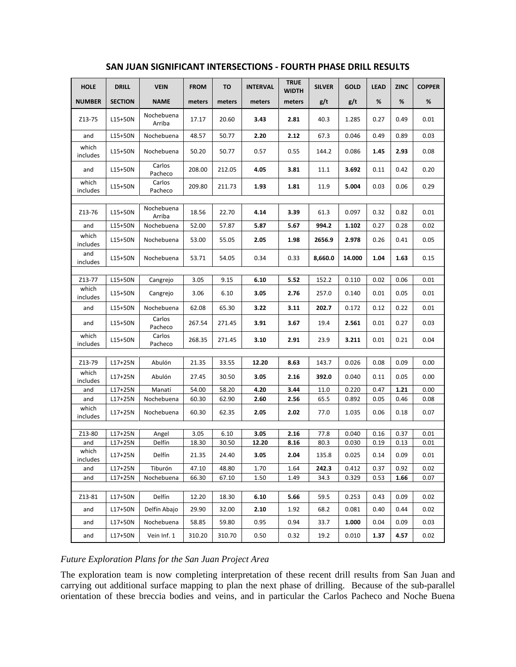| <b>HOLE</b>       | <b>DRILL</b>           | <b>VEIN</b>          | <b>FROM</b>   | TO            | <b>INTERVAL</b> | <b>TRUE</b><br>WIDTH | <b>SILVER</b> | <b>GOLD</b>    | <b>LEAD</b>  | <b>ZINC</b>  | <b>COPPER</b> |
|-------------------|------------------------|----------------------|---------------|---------------|-----------------|----------------------|---------------|----------------|--------------|--------------|---------------|
| <b>NUMBER</b>     | <b>SECTION</b>         | <b>NAME</b>          | meters        | meters        | meters          | meters               | g/t           | g/t            | %            | %            | %             |
| Z13-75            | L15+50N                | Nochebuena<br>Arriba | 17.17         | 20.60         | 3.43            | 2.81                 | 40.3          | 1.285          | 0.27         | 0.49         | 0.01          |
| and               | L15+50N                | Nochebuena           | 48.57         | 50.77         | 2.20            | 2.12                 | 67.3          | 0.046          | 0.49         | 0.89         | 0.03          |
| which<br>includes | L15+50N                | Nochebuena           | 50.20         | 50.77         | 0.57            | 0.55                 | 144.2         | 0.086          | 1.45         | 2.93         | 0.08          |
| and               | L15+50N                | Carlos<br>Pacheco    | 208.00        | 212.05        | 4.05            | 3.81                 | 11.1          | 3.692          | 0.11         | 0.42         | 0.20          |
| which<br>includes | L15+50N                | Carlos<br>Pacheco    | 209.80        | 211.73        | 1.93            | 1.81                 | 11.9          | 5.004          | 0.03         | 0.06         | 0.29          |
|                   |                        |                      |               |               |                 |                      |               |                |              |              |               |
| Z13-76            | L15+50N                | Nochebuena<br>Arriba | 18.56         | 22.70         | 4.14            | 3.39                 | 61.3          | 0.097          | 0.32         | 0.82         | 0.01          |
| and               | L15+50N                | Nochebuena           | 52.00         | 57.87         | 5.87            | 5.67                 | 994.2         | 1.102          | 0.27         | 0.28         | 0.02          |
| which<br>includes | L15+50N                | Nochebuena           | 53.00         | 55.05         | 2.05            | 1.98                 | 2656.9        | 2.978          | 0.26         | 0.41         | 0.05          |
| and<br>includes   | L15+50N                | Nochebuena           | 53.71         | 54.05         | 0.34            | 0.33                 | 8,660.0       | 14.000         | 1.04         | 1.63         | 0.15          |
|                   |                        |                      |               |               |                 |                      |               |                |              |              |               |
| Z13-77            | L15+50N                | Cangrejo             | 3.05          | 9.15          | 6.10            | 5.52                 | 152.2         | 0.110          | 0.02         | 0.06         | 0.01          |
| which<br>includes | L15+50N                | Cangrejo             | 3.06          | 6.10          | 3.05            | 2.76                 | 257.0         | 0.140          | 0.01         | 0.05         | 0.01          |
| and               | L15+50N                | Nochebuena           | 62.08         | 65.30         | 3.22            | 3.11                 | 202.7         | 0.172          | 0.12         | 0.22         | 0.01          |
| and               | L15+50N                | Carlos<br>Pacheco    | 267.54        | 271.45        | 3.91            | 3.67                 | 19.4          | 2.561          | 0.01         | 0.27         | 0.03          |
| which<br>includes | L15+50N                | Carlos<br>Pacheco    | 268.35        | 271.45        | 3.10            | 2.91                 | 23.9          | 3.211          | 0.01         | 0.21         | 0.04          |
|                   |                        |                      |               |               |                 |                      |               |                |              |              |               |
| Z13-79            | $L17+25N$              | Abulón               | 21.35         | 33.55         | 12.20           | 8.63                 | 143.7         | 0.026          | 0.08         | 0.09         | 0.00          |
| which<br>includes | L17+25N                | Abulón               | 27.45         | 30.50         | 3.05            | 2.16                 | 392.0         | 0.040          | 0.11         | 0.05         | 0.00          |
| and               | $L17+25N$              | Manatí               | 54.00         | 58.20         | 4.20            | 3.44                 | 11.0          | 0.220          | 0.47         | 1.21         | 0.00          |
| and               | $L17+25N$              | Nochebuena           | 60.30         | 62.90         | 2.60            | 2.56                 | 65.5          | 0.892          | 0.05         | 0.46         | 0.08          |
| which<br>includes | $L17+25N$              | Nochebuena           | 60.30         | 62.35         | 2.05            | 2.02                 | 77.0          | 1.035          | 0.06         | 0.18         | 0.07          |
|                   |                        |                      |               |               |                 |                      |               |                |              |              |               |
| Z13-80<br>and     | $L17+25N$<br>$L17+25N$ | Angel<br>Delfín      | 3.05<br>18.30 | 6.10<br>30.50 | 3.05<br>12.20   | 2.16<br>8.16         | 77.8<br>80.3  | 0.040<br>0.030 | 0.16<br>0.19 | 0.37<br>0.13 | 0.01<br>0.01  |
| which<br>includes | $L17+25N$              | Delfín               | 21.35         | 24.40         | 3.05            | 2.04                 | 135.8         | 0.025          | 0.14         | 0.09         | 0.01          |
| and               | $L17+25N$              | Tiburón              | 47.10         | 48.80         | 1.70            | 1.64                 | 242.3         | 0.412          | 0.37         | 0.92         | 0.02          |
| and               | $L17+25N$              | Nochebuena           | 66.30         | 67.10         | 1.50            | 1.49                 | 34.3          | 0.329          | 0.53         | 1.66         | 0.07          |
|                   |                        |                      |               |               |                 |                      |               |                |              |              |               |
| Z13-81            | L17+50N                | Delfín               | 12.20         | 18.30         | 6.10            | 5.66                 | 59.5          | 0.253          | 0.43         | 0.09         | 0.02          |
| and               | L17+50N                | Delfín Abajo         | 29.90         | 32.00         | 2.10            | 1.92                 | 68.2          | 0.081          | 0.40         | 0.44         | 0.02          |
| and               | L17+50N                | Nochebuena           | 58.85         | 59.80         | 0.95            | 0.94                 | 33.7          | 1.000          | 0.04         | 0.09         | 0.03          |
| and               | L17+50N                | Vein Inf. 1          | 310.20        | 310.70        | 0.50            | 0.32                 | 19.2          | 0.010          | 1.37         | 4.57         | 0.02          |

#### **SAN JUAN SIGNIFICANT INTERSECTIONS - FOURTH PHASE DRILL RESULTS**

### *Future Exploration Plans for the San Juan Project Area*

The exploration team is now completing interpretation of these recent drill results from San Juan and carrying out additional surface mapping to plan the next phase of drilling. Because of the sub-parallel orientation of these breccia bodies and veins, and in particular the Carlos Pacheco and Noche Buena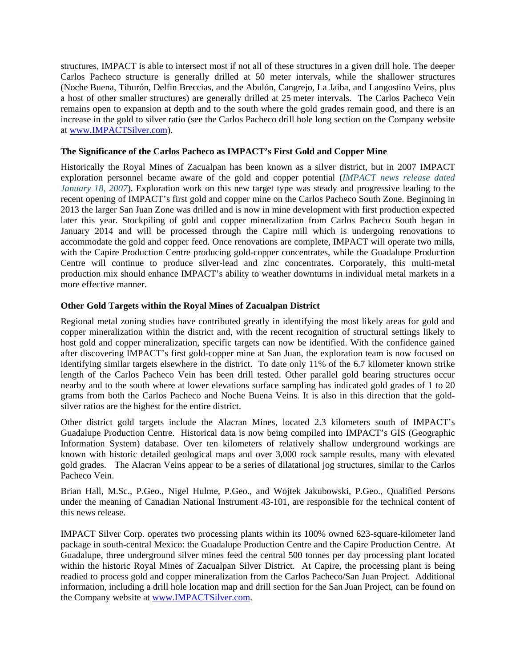structures, IMPACT is able to intersect most if not all of these structures in a given drill hole. The deeper Carlos Pacheco structure is generally drilled at 50 meter intervals, while the shallower structures (Noche Buena, Tiburón, Delfin Breccias, and the Abulón, Cangrejo, La Jaiba, and Langostino Veins, plus a host of other smaller structures) are generally drilled at 25 meter intervals. The Carlos Pacheco Vein remains open to expansion at depth and to the south where the gold grades remain good, and there is an increase in the gold to silver ratio (see the Carlos Pacheco drill hole long section on the Company website at [www.IMPACTSilver.com\)](http://www.impactsilver.com/).

#### **The Significance of the Carlos Pacheco as IMPACT's First Gold and Copper Mine**

Historically the Royal Mines of Zacualpan has been known as a silver district, but in 2007 IMPACT exploration personnel became aware of the gold and copper potential (*IMPACT news release dated January 18, 2007*). Exploration work on this new target type was steady and progressive leading to the recent opening of IMPACT's first gold and copper mine on the Carlos Pacheco South Zone. Beginning in 2013 the larger San Juan Zone was drilled and is now in mine development with first production expected later this year. Stockpiling of gold and copper mineralization from Carlos Pacheco South began in January 2014 and will be processed through the Capire mill which is undergoing renovations to accommodate the gold and copper feed. Once renovations are complete, IMPACT will operate two mills, with the Capire Production Centre producing gold-copper concentrates, while the Guadalupe Production Centre will continue to produce silver-lead and zinc concentrates. Corporately, this multi-metal production mix should enhance IMPACT's ability to weather downturns in individual metal markets in a more effective manner.

#### **Other Gold Targets within the Royal Mines of Zacualpan District**

Regional metal zoning studies have contributed greatly in identifying the most likely areas for gold and copper mineralization within the district and, with the recent recognition of structural settings likely to host gold and copper mineralization, specific targets can now be identified. With the confidence gained after discovering IMPACT's first gold-copper mine at San Juan, the exploration team is now focused on identifying similar targets elsewhere in the district. To date only 11% of the 6.7 kilometer known strike length of the Carlos Pacheco Vein has been drill tested. Other parallel gold bearing structures occur nearby and to the south where at lower elevations surface sampling has indicated gold grades of 1 to 20 grams from both the Carlos Pacheco and Noche Buena Veins. It is also in this direction that the goldsilver ratios are the highest for the entire district.

Other district gold targets include the Alacran Mines, located 2.3 kilometers south of IMPACT's Guadalupe Production Centre. Historical data is now being compiled into IMPACT's GIS (Geographic Information System) database. Over ten kilometers of relatively shallow underground workings are known with historic detailed geological maps and over 3,000 rock sample results, many with elevated gold grades. The Alacran Veins appear to be a series of dilatational jog structures, similar to the Carlos Pacheco Vein.

Brian Hall, M.Sc., P.Geo., Nigel Hulme, P.Geo., and Wojtek Jakubowski, P.Geo., Qualified Persons under the meaning of Canadian National Instrument 43-101, are responsible for the technical content of this news release.

IMPACT Silver Corp. operates two processing plants within its 100% owned 623-square-kilometer land package in south-central Mexico: the Guadalupe Production Centre and the Capire Production Centre. At Guadalupe, three underground silver mines feed the central 500 tonnes per day processing plant located within the historic Royal Mines of Zacualpan Silver District. At Capire, the processing plant is being readied to process gold and copper mineralization from the Carlos Pacheco/San Juan Project. Additional information, including a drill hole location map and drill section for the San Juan Project, can be found on the Company website at [www.IMPACTSilver.com.](http://www.impactsilver.com/)